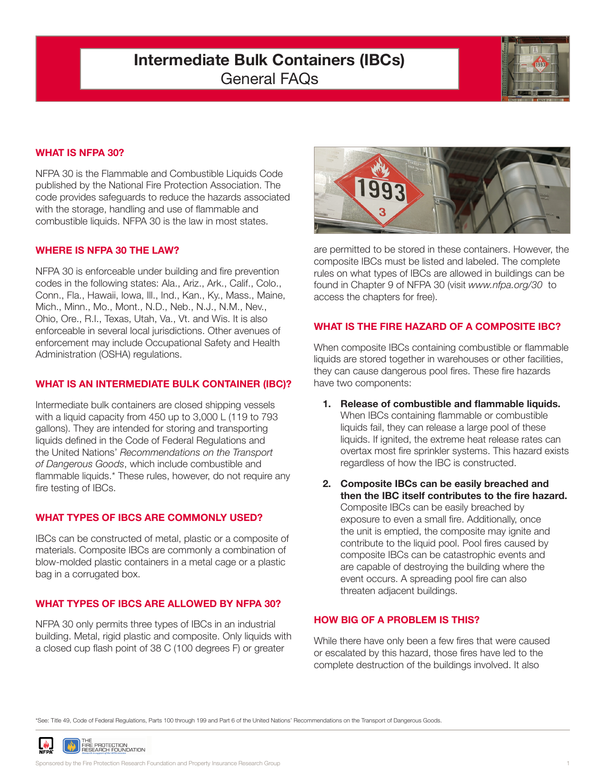# **Intermediate Bulk Containers (IBCs)** General FAQs



# **WHAT IS NFPA 30?**

NFPA 30 is the Flammable and Combustible Liquids Code published by the National Fire Protection Association. The code provides safeguards to reduce the hazards associated with the storage, handling and use of flammable and combustible liquids. NFPA 30 is the law in most states.

#### **WHERE IS NFPA 30 THE LAW?**

NFPA 30 is enforceable under building and fire prevention codes in the following states: Ala., Ariz., Ark., Calif., Colo., Conn., Fla., Hawaii, Iowa, Ill., Ind., Kan., Ky., Mass., Maine, Mich., Minn., Mo., Mont., N.D., Neb., N.J., N.M., Nev., Ohio, Ore., R.I., Texas, Utah, Va., Vt. and Wis. It is also enforceable in several local jurisdictions. Other avenues of enforcement may include Occupational Safety and Health Administration (OSHA) regulations.

#### **WHAT IS AN INTERMEDIATE BULK CONTAINER (IBC)?**

Intermediate bulk containers are closed shipping vessels with a liquid capacity from 450 up to 3,000 L (119 to 793 gallons). They are intended for storing and transporting liquids defined in the Code of Federal Regulations and the United Nations' *Recommendations on the Transport of Dangerous Goods*, which include combustible and flammable liquids.\* These rules, however, do not require any fire testing of IBCs.

#### **WHAT TYPES OF IBCS ARE COMMONLY USED?**

IBCs can be constructed of metal, plastic or a composite of materials. Composite IBCs are commonly a combination of blow-molded plastic containers in a metal cage or a plastic bag in a corrugated box.

#### **WHAT TYPES OF IBCS ARE ALLOWED BY NFPA 30?**

NFPA 30 only permits three types of IBCs in an industrial building. Metal, rigid plastic and composite. Only liquids with a closed cup flash point of 38 C (100 degrees F) or greater



are permitted to be stored in these containers. However, the composite IBCs must be listed and labeled. The complete rules on what types of IBCs are allowed in buildings can be found in Chapter 9 of NFPA 30 (visit *www.nfpa.org/30* to access the chapters for free).

### **WHAT IS THE FIRE HAZARD OF A COMPOSITE IBC?**

When composite IBCs containing combustible or flammable liquids are stored together in warehouses or other facilities, they can cause dangerous pool fires. These fire hazards have two components:

- **1. Release of combustible and flammable liquids.** When IBCs containing flammable or combustible liquids fail, they can release a large pool of these liquids. If ignited, the extreme heat release rates can overtax most fire sprinkler systems. This hazard exists regardless of how the IBC is constructed.
- **2. Composite IBCs can be easily breached and then the IBC itself contributes to the fire hazard.** Composite IBCs can be easily breached by exposure to even a small fire. Additionally, once the unit is emptied, the composite may ignite and contribute to the liquid pool. Pool fires caused by composite IBCs can be catastrophic events and are capable of destroying the building where the event occurs. A spreading pool fire can also threaten adjacent buildings.

#### **HOW BIG OF A PROBLEM IS THIS?**

While there have only been a few fires that were caused or escalated by this hazard, those fires have led to the complete destruction of the buildings involved. It also

\*See: Title 49, Code of Federal Regulations, Parts 100 through 199 and Part 6 of the United Nations' Recommendations on the Transport of Dangerous Goods.



Sponsored by the Fire Protection Research Foundation and Property Insurance Research Group 1